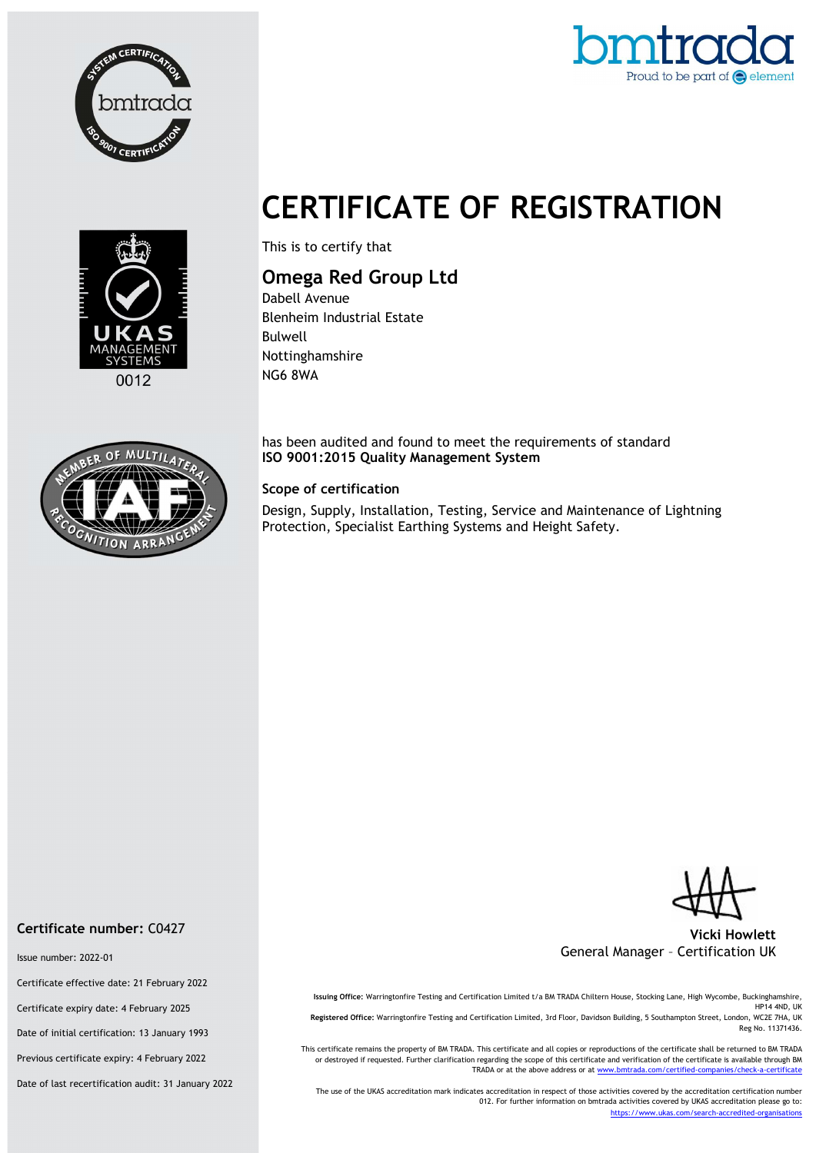



# CERTIFICATE OF REGISTRATION



This is to certify that

## Omega Red Group Ltd

Dabell Avenue Blenheim Industrial Estate Bulwell Nottinghamshire NG6 8WA

has been audited and found to meet the requirements of standard ISO 9001:2015 Quality Management System

#### Scope of certification

Design, Supply, Installation, Testing, Service and Maintenance of Lightning Protection, Specialist Earthing Systems and Height Safety.





#### Vicki Howlett General Manager – Certification UK

Issuing Office: Warringtonfire Testing and Certification Limited t/a BM TRADA Chiltern House, Stocking Lane, High Wycombe, Buckinghamshire, HP14 4ND, UK Registered Office: Warringtonfire Testing and Certification Limited, 3rd Floor, Davidson Building, 5 Southampton Street, London, WC2E 7HA, UK Reg No. 11371436.

This certificate remains the property of BM TRADA. This certificate and all copies or reproductions of the certificate shall be returned to BM TRADA or destroyed if requested. Further clarification regarding the scope of this certificate and verification of the certificate is available through BM TRADA or at the above address or at www.bmtrada.com/certified-companies/check-a-certificate

The use of the UKAS accreditation mark indicates accreditation in respect of those activities covered by the accreditation certification number 012. For further information on bmtrada activities covered by UKAS accreditation please go to: https://www.ukas.com/search-accredited-organisations

#### Certificate number: C0427

Issue number: 2022-01

Certificate effective date: 21 February 2022

Certificate expiry date: 4 February 2025

Date of initial certification: 13 January 1993

Previous certificate expiry: 4 February 2022

Date of last recertification audit: 31 January 2022